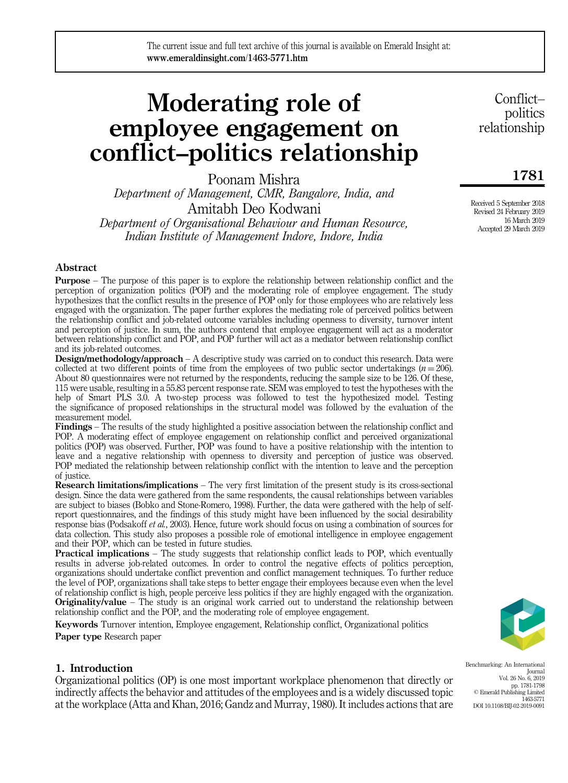# Moderating role of employee engagement on conflict–politics relationship

Poonam Mishra *Department of Management, CMR, Bangalore, India, and* Amitabh Deo Kodwani *Department of Organisational Behaviour and Human Resource, Indian Institute of Management Indore, Indore, India*

Conflict– politics relationship

1781

Received 5 September 2018 Revised 24 February 2019 16 March 2019 Accepted 29 March 2019

## Abstract

Purpose – The purpose of this paper is to explore the relationship between relationship conflict and the perception of organization politics (POP) and the moderating role of employee engagement. The study hypothesizes that the conflict results in the presence of POP only for those employees who are relatively less engaged with the organization. The paper further explores the mediating role of perceived politics between the relationship conflict and job-related outcome variables including openness to diversity, turnover intent and perception of justice. In sum, the authors contend that employee engagement will act as a moderator between relationship conflict and POP, and POP further will act as a mediator between relationship conflict and its job-related outcomes.

Design/methodology/approach – A descriptive study was carried on to conduct this research. Data were collected at two different points of time from the employees of two public sector undertakings  $(n = 206)$ . About 80 questionnaires were not returned by the respondents, reducing the sample size to be 126. Of these, 115 were usable, resulting in a 55.83 percent response rate. SEM was employed to test the hypotheses with the help of Smart PLS 3.0. A two-step process was followed to test the hypothesized model. Testing the significance of proposed relationships in the structural model was followed by the evaluation of the measurement model.

Findings – The results of the study highlighted a positive association between the relationship conflict and POP. A moderating effect of employee engagement on relationship conflict and perceived organizational politics (POP) was observed. Further, POP was found to have a positive relationship with the intention to leave and a negative relationship with openness to diversity and perception of justice was observed. POP mediated the relationship between relationship conflict with the intention to leave and the perception of justice.

Research limitations/implications – The very first limitation of the present study is its cross-sectional design. Since the data were gathered from the same respondents, the causal relationships between variables are subject to biases (Bobko and Stone-Romero, 1998). Further, the data were gathered with the help of selfreport questionnaires, and the findings of this study might have been influenced by the social desirability response bias (Podsakoff *et al.*, 2003). Hence, future work should focus on using a combination of sources for data collection. This study also proposes a possible role of emotional intelligence in employee engagement and their POP, which can be tested in future studies.

Practical implications – The study suggests that relationship conflict leads to POP, which eventually results in adverse job-related outcomes. In order to control the negative effects of politics perception, organizations should undertake conflict prevention and conflict management techniques. To further reduce the level of POP, organizations shall take steps to better engage their employees because even when the level of relationship conflict is high, people perceive less politics if they are highly engaged with the organization. **Originality/value** – The study is an original work carried out to understand the relationship between relationship conflict and the POP, and the moderating role of employee engagement.

Keywords Turnover intention, Employee engagement, Relationship conflict, Organizational politics Paper type Research paper



# 1. Introduction

Organizational politics (OP) is one most important workplace phenomenon that directly or indirectly affects the behavior and attitudes of the employees and is a widely discussed topic at the workplace (Atta and Khan, 2016; Gandz and Murray, 1980). It includes actions that are Benchmarking: An International Journal Vol. 26 No. 6, 2019 pp. 1781-1798 © Emerald Publishing Limited 1463-5771 DOI 10.1108/BIJ-02-2019-0091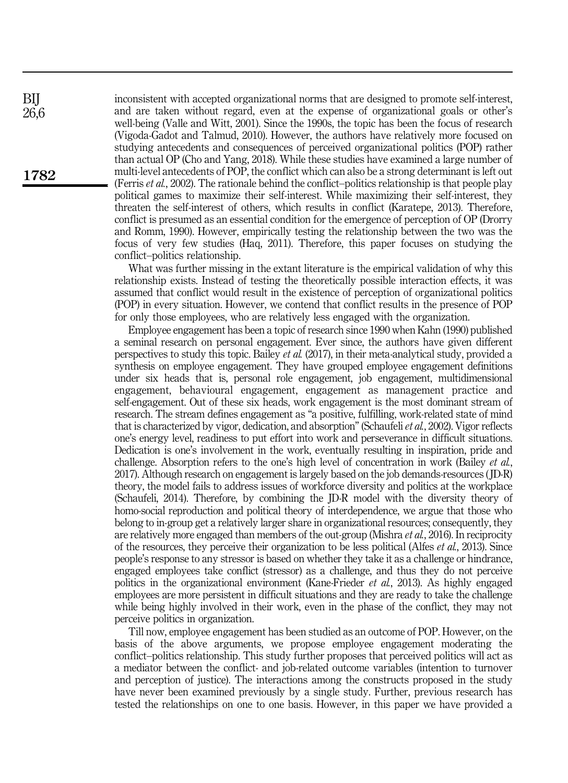inconsistent with accepted organizational norms that are designed to promote self-interest, and are taken without regard, even at the expense of organizational goals or other's well-being (Valle and Witt, 2001). Since the 1990s, the topic has been the focus of research (Vigoda-Gadot and Talmud, 2010). However, the authors have relatively more focused on studying antecedents and consequences of perceived organizational politics (POP) rather than actual OP (Cho and Yang, 2018). While these studies have examined a large number of multi-level antecedents of POP, the conflict which can also be a strong determinant is left out (Ferris *et al.*, 2002). The rationale behind the conflict–politics relationship is that people play political games to maximize their self-interest. While maximizing their self-interest, they threaten the self-interest of others, which results in conflict (Karatepe, 2013). Therefore, conflict is presumed as an essential condition for the emergence of perception of OP (Drorry and Romm, 1990). However, empirically testing the relationship between the two was the focus of very few studies (Haq, 2011). Therefore, this paper focuses on studying the conflict–politics relationship.

What was further missing in the extant literature is the empirical validation of why this relationship exists. Instead of testing the theoretically possible interaction effects, it was assumed that conflict would result in the existence of perception of organizational politics (POP) in every situation. However, we contend that conflict results in the presence of POP for only those employees, who are relatively less engaged with the organization.

Employee engagement has been a topic of research since 1990 when Kahn (1990) published a seminal research on personal engagement. Ever since, the authors have given different perspectives to study this topic. Bailey *et al.* (2017), in their meta-analytical study, provided a synthesis on employee engagement. They have grouped employee engagement definitions under six heads that is, personal role engagement, job engagement, multidimensional engagement, behavioural engagement, engagement as management practice and self-engagement. Out of these six heads, work engagement is the most dominant stream of research. The stream defines engagement as "a positive, fulfilling, work-related state of mind that is characterized by vigor, dedication, and absorption" (Schaufeli*et al.*, 2002). Vigor reflects one's energy level, readiness to put effort into work and perseverance in difficult situations. Dedication is one's involvement in the work, eventually resulting in inspiration, pride and challenge. Absorption refers to the one's high level of concentration in work (Bailey *et al.*, 2017). Although research on engagement is largely based on the job demands-resources ( JD-R) theory, the model fails to address issues of workforce diversity and politics at the workplace (Schaufeli, 2014). Therefore, by combining the JD-R model with the diversity theory of homo-social reproduction and political theory of interdependence, we argue that those who belong to in-group get a relatively larger share in organizational resources; consequently, they are relatively more engaged than members of the out-group (Mishra *et al.*, 2016). In reciprocity of the resources, they perceive their organization to be less political (Alfes *et al.*, 2013). Since people's response to any stressor is based on whether they take it as a challenge or hindrance, engaged employees take conflict (stressor) as a challenge, and thus they do not perceive politics in the organizational environment (Kane-Frieder *et al.*, 2013). As highly engaged employees are more persistent in difficult situations and they are ready to take the challenge while being highly involved in their work, even in the phase of the conflict, they may not perceive politics in organization.

Till now, employee engagement has been studied as an outcome of POP. However, on the basis of the above arguments, we propose employee engagement moderating the conflict–politics relationship. This study further proposes that perceived politics will act as a mediator between the conflict- and job-related outcome variables (intention to turnover and perception of justice). The interactions among the constructs proposed in the study have never been examined previously by a single study. Further, previous research has tested the relationships on one to one basis. However, in this paper we have provided a

BIJ 26,6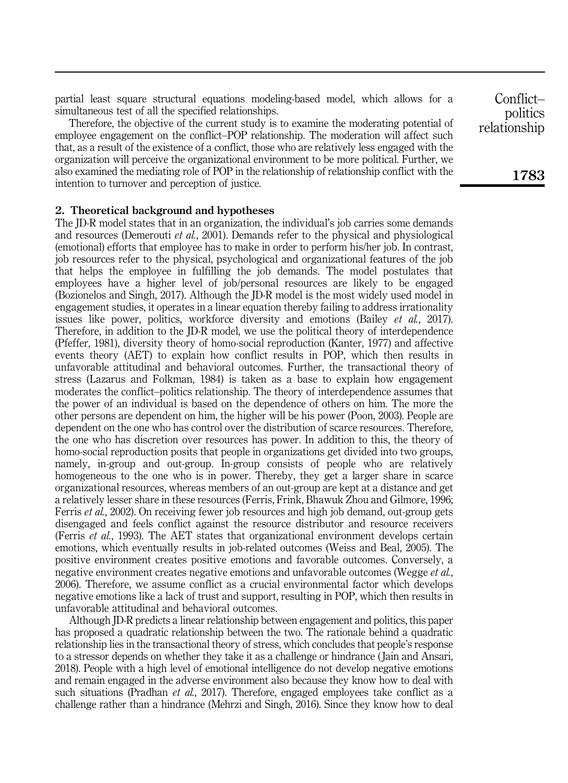partial least square structural equations modeling-based model, which allows for a simultaneous test of all the specified relationships.

Therefore, the objective of the current study is to examine the moderating potential of employee engagement on the conflict–POP relationship. The moderation will affect such that, as a result of the existence of a conflict, those who are relatively less engaged with the organization will perceive the organizational environment to be more political. Further, we also examined the mediating role of POP in the relationship of relationship conflict with the intention to turnover and perception of justice.

## 2. Theoretical background and hypotheses

The JD-R model states that in an organization, the individual's job carries some demands and resources (Demerouti *et al.*, 2001). Demands refer to the physical and physiological (emotional) efforts that employee has to make in order to perform his/her job. In contrast, job resources refer to the physical, psychological and organizational features of the job that helps the employee in fulfilling the job demands. The model postulates that employees have a higher level of job/personal resources are likely to be engaged (Bozionelos and Singh, 2017). Although the JD-R model is the most widely used model in engagement studies, it operates in a linear equation thereby failing to address irrationality issues like power, politics, workforce diversity and emotions (Bailey *et al.*, 2017). Therefore, in addition to the JD-R model, we use the political theory of interdependence (Pfeffer, 1981), diversity theory of homo-social reproduction (Kanter, 1977) and affective events theory (AET) to explain how conflict results in POP, which then results in unfavorable attitudinal and behavioral outcomes. Further, the transactional theory of stress (Lazarus and Folkman, 1984) is taken as a base to explain how engagement moderates the conflict–politics relationship. The theory of interdependence assumes that the power of an individual is based on the dependence of others on him. The more the other persons are dependent on him, the higher will be his power (Poon, 2003). People are dependent on the one who has control over the distribution of scarce resources. Therefore, the one who has discretion over resources has power. In addition to this, the theory of homo-social reproduction posits that people in organizations get divided into two groups, namely, in-group and out-group. In-group consists of people who are relatively homogeneous to the one who is in power. Thereby, they get a larger share in scarce organizational resources, whereas members of an out-group are kept at a distance and get a relatively lesser share in these resources (Ferris, Frink, Bhawuk Zhou and Gilmore, 1996; Ferris *et al.*, 2002). On receiving fewer job resources and high job demand, out-group gets disengaged and feels conflict against the resource distributor and resource receivers (Ferris *et al.*, 1993). The AET states that organizational environment develops certain emotions, which eventually results in job-related outcomes (Weiss and Beal, 2005). The positive environment creates positive emotions and favorable outcomes. Conversely, a negative environment creates negative emotions and unfavorable outcomes (Wegge *et al.*, 2006). Therefore, we assume conflict as a crucial environmental factor which develops negative emotions like a lack of trust and support, resulting in POP, which then results in unfavorable attitudinal and behavioral outcomes.

Although JD-R predicts a linear relationship between engagement and politics, this paper has proposed a quadratic relationship between the two. The rationale behind a quadratic relationship lies in the transactional theory of stress, which concludes that people's response to a stressor depends on whether they take it as a challenge or hindrance ( Jain and Ansari, 2018). People with a high level of emotional intelligence do not develop negative emotions and remain engaged in the adverse environment also because they know how to deal with such situations (Pradhan *et al.*, 2017). Therefore, engaged employees take conflict as a challenge rather than a hindrance (Mehrzi and Singh, 2016). Since they know how to deal

Conflict– politics relationship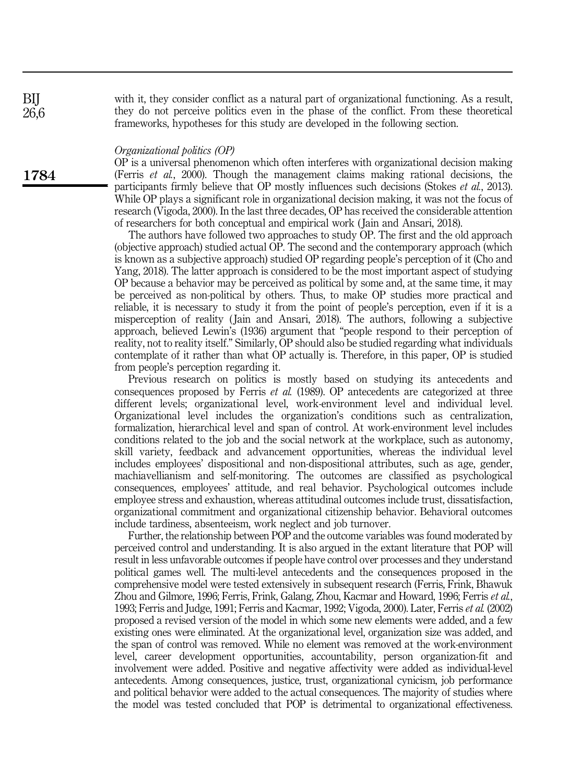with it, they consider conflict as a natural part of organizational functioning. As a result, they do not perceive politics even in the phase of the conflict. From these theoretical frameworks, hypotheses for this study are developed in the following section.

#### *Organizational politics (OP)*

OP is a universal phenomenon which often interferes with organizational decision making (Ferris *et al.*, 2000). Though the management claims making rational decisions, the participants firmly believe that OP mostly influences such decisions (Stokes *et al.*, 2013). While OP plays a significant role in organizational decision making, it was not the focus of research (Vigoda, 2000). In the last three decades, OP has received the considerable attention of researchers for both conceptual and empirical work ( Jain and Ansari, 2018).

The authors have followed two approaches to study OP. The first and the old approach (objective approach) studied actual OP. The second and the contemporary approach (which is known as a subjective approach) studied OP regarding people's perception of it (Cho and Yang, 2018). The latter approach is considered to be the most important aspect of studying OP because a behavior may be perceived as political by some and, at the same time, it may be perceived as non-political by others. Thus, to make OP studies more practical and reliable, it is necessary to study it from the point of people's perception, even if it is a misperception of reality ( Jain and Ansari, 2018). The authors, following a subjective approach, believed Lewin's (1936) argument that "people respond to their perception of reality, not to reality itself." Similarly, OP should also be studied regarding what individuals contemplate of it rather than what OP actually is. Therefore, in this paper, OP is studied from people's perception regarding it.

Previous research on politics is mostly based on studying its antecedents and consequences proposed by Ferris *et al.* (1989). OP antecedents are categorized at three different levels; organizational level, work-environment level and individual level. Organizational level includes the organization's conditions such as centralization, formalization, hierarchical level and span of control. At work-environment level includes conditions related to the job and the social network at the workplace, such as autonomy, skill variety, feedback and advancement opportunities, whereas the individual level includes employees' dispositional and non-dispositional attributes, such as age, gender, machiavellianism and self-monitoring. The outcomes are classified as psychological consequences, employees' attitude, and real behavior. Psychological outcomes include employee stress and exhaustion, whereas attitudinal outcomes include trust, dissatisfaction, organizational commitment and organizational citizenship behavior. Behavioral outcomes include tardiness, absenteeism, work neglect and job turnover.

Further, the relationship between POP and the outcome variables was found moderated by perceived control and understanding. It is also argued in the extant literature that POP will result in less unfavorable outcomes if people have control over processes and they understand political games well. The multi-level antecedents and the consequences proposed in the comprehensive model were tested extensively in subsequent research (Ferris, Frink, Bhawuk Zhou and Gilmore, 1996; Ferris, Frink, Galang, Zhou, Kacmar and Howard, 1996; Ferris *et al.*, 1993; Ferris and Judge, 1991; Ferris and Kacmar, 1992; Vigoda, 2000). Later, Ferris *et al.* (2002) proposed a revised version of the model in which some new elements were added, and a few existing ones were eliminated. At the organizational level, organization size was added, and the span of control was removed. While no element was removed at the work-environment level, career development opportunities, accountability, person organization-fit and involvement were added. Positive and negative affectivity were added as individual-level antecedents. Among consequences, justice, trust, organizational cynicism, job performance and political behavior were added to the actual consequences. The majority of studies where the model was tested concluded that POP is detrimental to organizational effectiveness.

1784

BIJ 26,6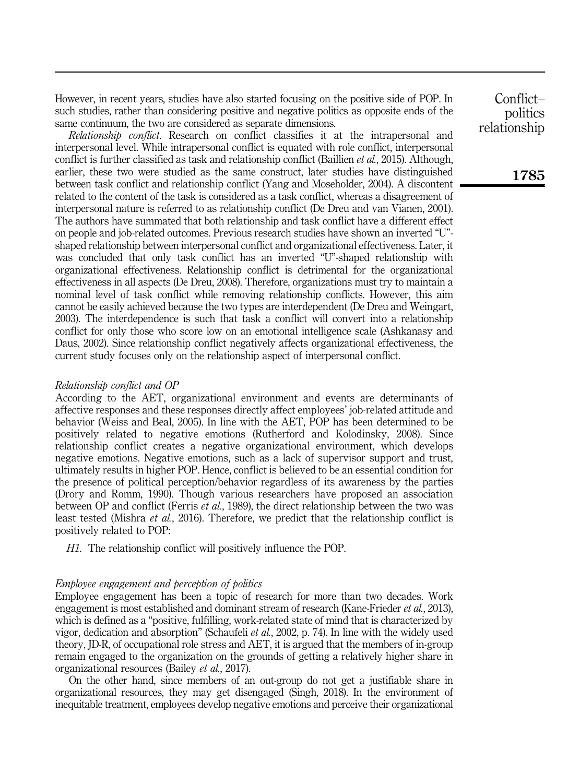However, in recent years, studies have also started focusing on the positive side of POP. In such studies, rather than considering positive and negative politics as opposite ends of the same continuum, the two are considered as separate dimensions.

*Relationship conflict*. Research on conflict classifies it at the intrapersonal and interpersonal level. While intrapersonal conflict is equated with role conflict, interpersonal conflict is further classified as task and relationship conflict (Baillien *et al.*, 2015). Although, earlier, these two were studied as the same construct, later studies have distinguished between task conflict and relationship conflict (Yang and Moseholder, 2004). A discontent related to the content of the task is considered as a task conflict, whereas a disagreement of interpersonal nature is referred to as relationship conflict (De Dreu and van Vianen, 2001). The authors have summated that both relationship and task conflict have a different effect on people and job-related outcomes. Previous research studies have shown an inverted "U" shaped relationship between interpersonal conflict and organizational effectiveness. Later, it was concluded that only task conflict has an inverted "U"-shaped relationship with organizational effectiveness. Relationship conflict is detrimental for the organizational effectiveness in all aspects (De Dreu, 2008). Therefore, organizations must try to maintain a nominal level of task conflict while removing relationship conflicts. However, this aim cannot be easily achieved because the two types are interdependent (De Dreu and Weingart, 2003). The interdependence is such that task a conflict will convert into a relationship conflict for only those who score low on an emotional intelligence scale (Ashkanasy and Daus, 2002). Since relationship conflict negatively affects organizational effectiveness, the current study focuses only on the relationship aspect of interpersonal conflict.

## *Relationship conflict and OP*

According to the AET, organizational environment and events are determinants of affective responses and these responses directly affect employees' job-related attitude and behavior (Weiss and Beal, 2005). In line with the AET, POP has been determined to be positively related to negative emotions (Rutherford and Kolodinsky, 2008). Since relationship conflict creates a negative organizational environment, which develops negative emotions. Negative emotions, such as a lack of supervisor support and trust, ultimately results in higher POP. Hence, conflict is believed to be an essential condition for the presence of political perception/behavior regardless of its awareness by the parties (Drory and Romm, 1990). Though various researchers have proposed an association between OP and conflict (Ferris *et al.*, 1989), the direct relationship between the two was least tested (Mishra *et al.*, 2016). Therefore, we predict that the relationship conflict is positively related to POP:

*H1.* The relationship conflict will positively influence the POP.

## *Employee engagement and perception of politics*

Employee engagement has been a topic of research for more than two decades. Work engagement is most established and dominant stream of research (Kane-Frieder *et al.*, 2013), which is defined as a "positive, fulfilling, work-related state of mind that is characterized by vigor, dedication and absorption" (Schaufeli *et al.*, 2002, p. 74). In line with the widely used theory, JD-R, of occupational role stress and AET, it is argued that the members of in-group remain engaged to the organization on the grounds of getting a relatively higher share in organizational resources (Bailey *et al.*, 2017).

On the other hand, since members of an out-group do not get a justifiable share in organizational resources, they may get disengaged (Singh, 2018). In the environment of inequitable treatment, employees develop negative emotions and perceive their organizational

Conflict– politics relationship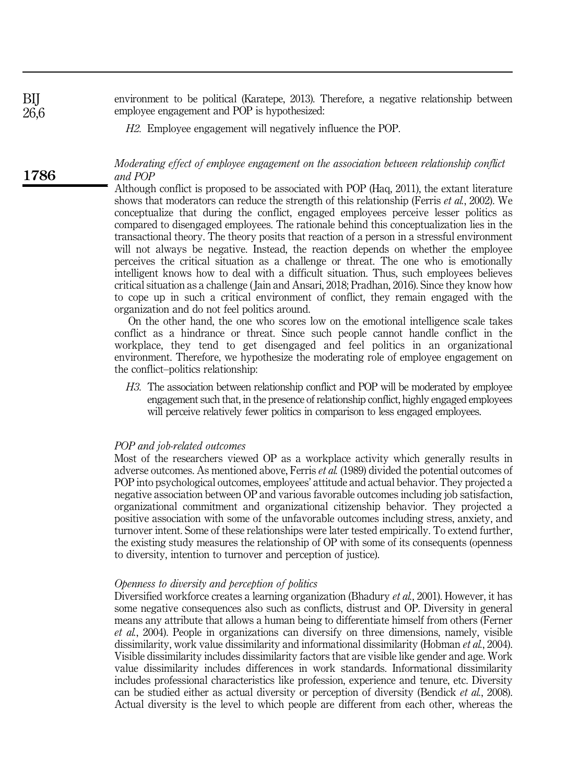environment to be political (Karatepe, 2013). Therefore, a negative relationship between employee engagement and POP is hypothesized:

*H2.* Employee engagement will negatively influence the POP.

*Moderating effect of employee engagement on the association between relationship conflict and POP*

Although conflict is proposed to be associated with POP (Haq, 2011), the extant literature shows that moderators can reduce the strength of this relationship (Ferris *et al.*, 2002). We conceptualize that during the conflict, engaged employees perceive lesser politics as compared to disengaged employees. The rationale behind this conceptualization lies in the transactional theory. The theory posits that reaction of a person in a stressful environment will not always be negative. Instead, the reaction depends on whether the employee perceives the critical situation as a challenge or threat. The one who is emotionally intelligent knows how to deal with a difficult situation. Thus, such employees believes critical situation as a challenge ( Jain and Ansari, 2018; Pradhan, 2016). Since they know how to cope up in such a critical environment of conflict, they remain engaged with the organization and do not feel politics around.

On the other hand, the one who scores low on the emotional intelligence scale takes conflict as a hindrance or threat. Since such people cannot handle conflict in the workplace, they tend to get disengaged and feel politics in an organizational environment. Therefore, we hypothesize the moderating role of employee engagement on the conflict–politics relationship:

*H3.* The association between relationship conflict and POP will be moderated by employee engagement such that, in the presence of relationship conflict, highly engaged employees will perceive relatively fewer politics in comparison to less engaged employees.

#### *POP and job-related outcomes*

Most of the researchers viewed OP as a workplace activity which generally results in adverse outcomes. As mentioned above, Ferris *et al.* (1989) divided the potential outcomes of POP into psychological outcomes, employees' attitude and actual behavior. They projected a negative association between OP and various favorable outcomes including job satisfaction, organizational commitment and organizational citizenship behavior. They projected a positive association with some of the unfavorable outcomes including stress, anxiety, and turnover intent. Some of these relationships were later tested empirically. To extend further, the existing study measures the relationship of OP with some of its consequents (openness to diversity, intention to turnover and perception of justice).

#### *Openness to diversity and perception of politics*

Diversified workforce creates a learning organization (Bhadury *et al.*, 2001). However, it has some negative consequences also such as conflicts, distrust and OP. Diversity in general means any attribute that allows a human being to differentiate himself from others (Ferner *et al.*, 2004). People in organizations can diversify on three dimensions, namely, visible dissimilarity, work value dissimilarity and informational dissimilarity (Hobman *et al.*, 2004). Visible dissimilarity includes dissimilarity factors that are visible like gender and age. Work value dissimilarity includes differences in work standards. Informational dissimilarity includes professional characteristics like profession, experience and tenure, etc. Diversity can be studied either as actual diversity or perception of diversity (Bendick *et al.*, 2008). Actual diversity is the level to which people are different from each other, whereas the

1786

BIJ 26,6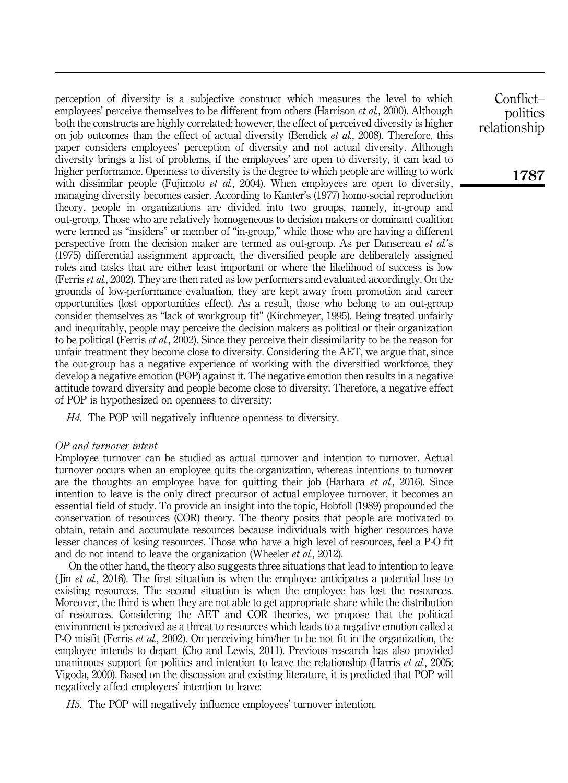perception of diversity is a subjective construct which measures the level to which employees' perceive themselves to be different from others (Harrison *et al.*, 2000). Although both the constructs are highly correlated; however, the effect of perceived diversity is higher on job outcomes than the effect of actual diversity (Bendick *et al.*, 2008). Therefore, this paper considers employees' perception of diversity and not actual diversity. Although diversity brings a list of problems, if the employees' are open to diversity, it can lead to higher performance. Openness to diversity is the degree to which people are willing to work with dissimilar people (Fujimoto *et al.*, 2004). When employees are open to diversity, managing diversity becomes easier. According to Kanter's (1977) homo-social reproduction theory, people in organizations are divided into two groups, namely, in-group and out-group. Those who are relatively homogeneous to decision makers or dominant coalition were termed as "insiders" or member of "in-group," while those who are having a different perspective from the decision maker are termed as out-group. As per Dansereau *et al.*'s (1975) differential assignment approach, the diversified people are deliberately assigned roles and tasks that are either least important or where the likelihood of success is low (Ferris *et al.*, 2002). They are then rated as low performers and evaluated accordingly. On the grounds of low-performance evaluation, they are kept away from promotion and career opportunities (lost opportunities effect). As a result, those who belong to an out-group consider themselves as "lack of workgroup fit" (Kirchmeyer, 1995). Being treated unfairly and inequitably, people may perceive the decision makers as political or their organization to be political (Ferris *et al.*, 2002). Since they perceive their dissimilarity to be the reason for unfair treatment they become close to diversity. Considering the AET, we argue that, since the out-group has a negative experience of working with the diversified workforce, they develop a negative emotion (POP) against it. The negative emotion then results in a negative attitude toward diversity and people become close to diversity. Therefore, a negative effect of POP is hypothesized on openness to diversity:

*H4.* The POP will negatively influence openness to diversity.

## *OP and turnover intent*

Employee turnover can be studied as actual turnover and intention to turnover. Actual turnover occurs when an employee quits the organization, whereas intentions to turnover are the thoughts an employee have for quitting their job (Harhara *et al.*, 2016). Since intention to leave is the only direct precursor of actual employee turnover, it becomes an essential field of study. To provide an insight into the topic, Hobfoll (1989) propounded the conservation of resources (COR) theory. The theory posits that people are motivated to obtain, retain and accumulate resources because individuals with higher resources have lesser chances of losing resources. Those who have a high level of resources, feel a P-O fit and do not intend to leave the organization (Wheeler *et al.*, 2012).

On the other hand, the theory also suggests three situations that lead to intention to leave ( Jin *et al.*, 2016). The first situation is when the employee anticipates a potential loss to existing resources. The second situation is when the employee has lost the resources. Moreover, the third is when they are not able to get appropriate share while the distribution of resources. Considering the AET and COR theories, we propose that the political environment is perceived as a threat to resources which leads to a negative emotion called a P-O misfit (Ferris *et al.*, 2002). On perceiving him/her to be not fit in the organization, the employee intends to depart (Cho and Lewis, 2011). Previous research has also provided unanimous support for politics and intention to leave the relationship (Harris *et al.*, 2005; Vigoda, 2000). Based on the discussion and existing literature, it is predicted that POP will negatively affect employees' intention to leave:

*H5.* The POP will negatively influence employees' turnover intention.

Conflict– politics relationship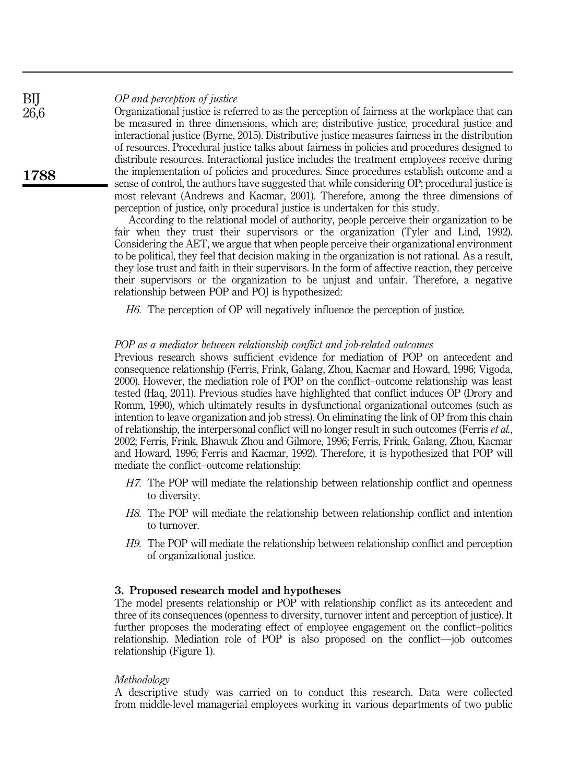## *OP and perception of justice*

Organizational justice is referred to as the perception of fairness at the workplace that can be measured in three dimensions, which are; distributive justice, procedural justice and interactional justice (Byrne, 2015). Distributive justice measures fairness in the distribution of resources. Procedural justice talks about fairness in policies and procedures designed to distribute resources. Interactional justice includes the treatment employees receive during the implementation of policies and procedures. Since procedures establish outcome and a sense of control, the authors have suggested that while considering OP; procedural justice is most relevant (Andrews and Kacmar, 2001). Therefore, among the three dimensions of perception of justice, only procedural justice is undertaken for this study.

According to the relational model of authority, people perceive their organization to be fair when they trust their supervisors or the organization (Tyler and Lind, 1992). Considering the AET, we argue that when people perceive their organizational environment to be political, they feel that decision making in the organization is not rational. As a result, they lose trust and faith in their supervisors. In the form of affective reaction, they perceive their supervisors or the organization to be unjust and unfair. Therefore, a negative relationship between POP and POJ is hypothesized:

*H6.* The perception of OP will negatively influence the perception of justice.

## *POP as a mediator between relationship conflict and job-related outcomes*

Previous research shows sufficient evidence for mediation of POP on antecedent and consequence relationship (Ferris, Frink, Galang, Zhou, Kacmar and Howard, 1996; Vigoda, 2000). However, the mediation role of POP on the conflict–outcome relationship was least tested (Haq, 2011). Previous studies have highlighted that conflict induces OP (Drory and Romm, 1990), which ultimately results in dysfunctional organizational outcomes (such as intention to leave organization and job stress). On eliminating the link of OP from this chain of relationship, the interpersonal conflict will no longer result in such outcomes (Ferris *et al.*, 2002; Ferris, Frink, Bhawuk Zhou and Gilmore, 1996; Ferris, Frink, Galang, Zhou, Kacmar and Howard, 1996; Ferris and Kacmar, 1992). Therefore, it is hypothesized that POP will mediate the conflict–outcome relationship:

- *H7.* The POP will mediate the relationship between relationship conflict and openness to diversity.
- *H8.* The POP will mediate the relationship between relationship conflict and intention to turnover.
- *H9.* The POP will mediate the relationship between relationship conflict and perception of organizational justice.

## 3. Proposed research model and hypotheses

The model presents relationship or POP with relationship conflict as its antecedent and three of its consequences (openness to diversity, turnover intent and perception of justice). It further proposes the moderating effect of employee engagement on the conflict–politics relationship. Mediation role of POP is also proposed on the conflict—job outcomes relationship (Figure 1).

## *Methodology*

A descriptive study was carried on to conduct this research. Data were collected from middle-level managerial employees working in various departments of two public

BIJ 26,6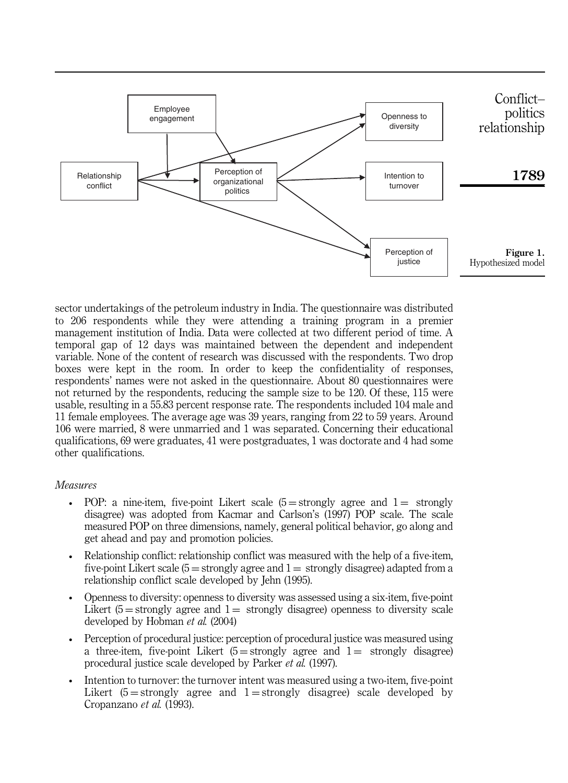

sector undertakings of the petroleum industry in India. The questionnaire was distributed to 206 respondents while they were attending a training program in a premier management institution of India. Data were collected at two different period of time. A temporal gap of 12 days was maintained between the dependent and independent variable. None of the content of research was discussed with the respondents. Two drop boxes were kept in the room. In order to keep the confidentiality of responses, respondents' names were not asked in the questionnaire. About 80 questionnaires were not returned by the respondents, reducing the sample size to be 120. Of these, 115 were usable, resulting in a 55.83 percent response rate. The respondents included 104 male and 11 female employees. The average age was 39 years, ranging from 22 to 59 years. Around 106 were married, 8 were unmarried and 1 was separated. Concerning their educational qualifications, 69 were graduates, 41 were postgraduates, 1 was doctorate and 4 had some other qualifications.

## *Measures*

- POP: a nine-item, five-point Likert scale  $(5 =$ strongly agree and  $1 =$  strongly disagree) was adopted from Kacmar and Carlson's (1997) POP scale. The scale measured POP on three dimensions, namely, general political behavior, go along and get ahead and pay and promotion policies.
- Relationship conflict: relationship conflict was measured with the help of a five-item, five-point Likert scale  $(5 =$ strongly agree and  $1 =$ strongly disagree) adapted from a relationship conflict scale developed by Jehn (1995).
- Openness to diversity: openness to diversity was assessed using a six-item, five-point Likert  $(5 =$  strongly agree and  $1 =$  strongly disagree) openness to diversity scale developed by Hobman *et al.* (2004)
- Perception of procedural justice: perception of procedural justice was measured using a three-item, five-point Likert  $(5 =$ strongly agree and  $1 =$  strongly disagree) procedural justice scale developed by Parker *et al.* (1997).
- Intention to turnover: the turnover intent was measured using a two-item, five-point Likert  $(5 = \text{strongly agree}$  and  $1 = \text{strongly disagree}$  scale developed by Cropanzano *et al.* (1993).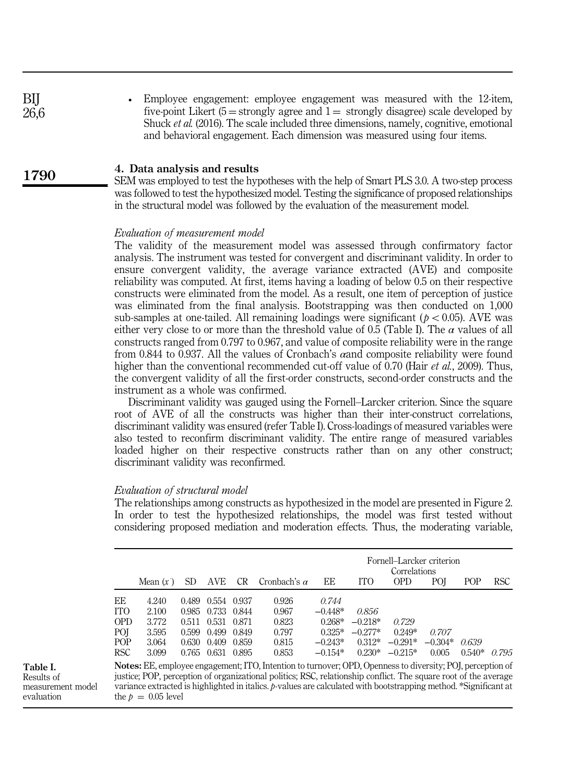| BIJ  | • Employee engagement: employee engagement was measured with the 12-item,               |
|------|-----------------------------------------------------------------------------------------|
| 26,6 | five-point Likert $(5 =$ strongly agree and $1 =$ strongly disagree) scale developed by |
|      | Shuck et al. (2016). The scale included three dimensions, namely, cognitive, emotional  |
|      | and behavioral engagement. Each dimension was measured using four items.                |

#### 4. Data analysis and results 1790

SEM was employed to test the hypotheses with the help of Smart PLS 3.0. A two-step process was followed to test the hypothesized model. Testing the significance of proposed relationships in the structural model was followed by the evaluation of the measurement model.

#### *Evaluation of measurement model*

The validity of the measurement model was assessed through confirmatory factor analysis. The instrument was tested for convergent and discriminant validity. In order to ensure convergent validity, the average variance extracted (AVE) and composite reliability was computed. At first, items having a loading of below 0.5 on their respective constructs were eliminated from the model. As a result, one item of perception of justice was eliminated from the final analysis. Bootstrapping was then conducted on 1,000 sub-samples at one-tailed. All remaining loadings were significant ( $p < 0.05$ ). AVE was either very close to or more than the threshold value of 0.5 (Table I). The  $\alpha$  values of all constructs ranged from 0.797 to 0.967, and value of composite reliability were in the range from 0.844 to 0.937. All the values of Cronbach's αand composite reliability were found higher than the conventional recommended cut-off value of 0.70 (Hair *et al.*, 2009). Thus, the convergent validity of all the first-order constructs, second-order constructs and the instrument as a whole was confirmed.

Discriminant validity was gauged using the Fornell–Larcker criterion. Since the square root of AVE of all the constructs was higher than their inter-construct correlations, discriminant validity was ensured (refer Table I). Cross-loadings of measured variables were also tested to reconfirm discriminant validity. The entire range of measured variables loaded higher on their respective constructs rather than on any other construct; discriminant validity was reconfirmed.

#### *Evaluation of structural model*

The relationships among constructs as hypothesized in the model are presented in Figure 2. In order to test the hypothesized relationships, the model was first tested without considering proposed mediation and moderation effects. Thus, the moderating variable,

|            |                                                                                                               |       |             |                 |                                                                                                                   |           | Fornell-Larcker criterion<br>Correlations |            |           |          |       |  |
|------------|---------------------------------------------------------------------------------------------------------------|-------|-------------|-----------------|-------------------------------------------------------------------------------------------------------------------|-----------|-------------------------------------------|------------|-----------|----------|-------|--|
|            | Mean $(x)$                                                                                                    | SD    | AVE         | CR <sub>.</sub> | Cronbach's $\alpha$                                                                                               | EE        | <b>ITO</b>                                | <b>OPD</b> | POI       | POP      | RSC.  |  |
| EE         | 4.240                                                                                                         | 0.489 | 0.554 0.937 |                 | 0.926                                                                                                             | 0.744     |                                           |            |           |          |       |  |
| <b>ITO</b> | 2.100                                                                                                         | 0.985 | 0.733       | 0.844           | 0.967                                                                                                             | $-0.448*$ | 0.856                                     |            |           |          |       |  |
| <b>OPD</b> | 3.772                                                                                                         | 0.511 | 0.531 0.871 |                 | 0.823                                                                                                             | $0.268*$  | $-0.218*$                                 | 0.729      |           |          |       |  |
| POI        | 3.595                                                                                                         | 0.599 | 0.499       | 0.849           | 0.797                                                                                                             | $0.325*$  | $-0.277*$                                 | $0.249*$   | 0.707     |          |       |  |
| POP        | 3.064                                                                                                         | 0.630 | 0.409       | 0.859           | 0.815                                                                                                             | $-0.243*$ | $0.312*$                                  | $-0.291*$  | $-0.304*$ | 0.639    |       |  |
| <b>RSC</b> | 3.099                                                                                                         |       | 0.765 0.631 | 0.895           | 0.853                                                                                                             | $-0.154*$ | $0.230*$                                  | $-0.215*$  | 0.005     | $0.540*$ | 0.795 |  |
|            |                                                                                                               |       |             |                 | <b>Notes:</b> EE, employee engagement; ITO, Intention to turnover; OPD, Openness to diversity; POJ, perception of |           |                                           |            |           |          |       |  |
|            | justice: POP perception of organizational politics: RSC relationship conflict. The square root of the average |       |             |                 |                                                                                                                   |           |                                           |            |           |          |       |  |

Table I. Results of measurement model evaluation

justice; POP, perception of organizational politics; RSC, relationship conflict. The square root of the average variance extracted is highlighted in italics. *p-*values are calculated with bootstrapping method. \*Significant at the  $p = 0.05$  level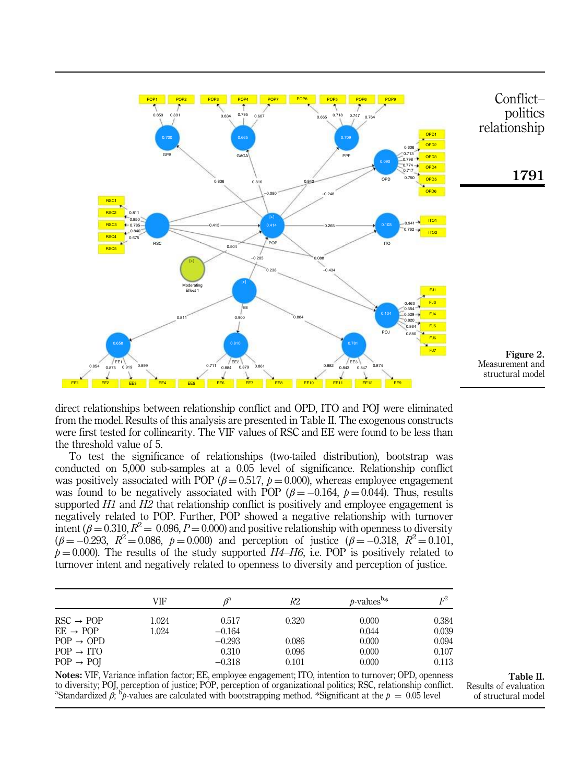

direct relationships between relationship conflict and OPD, ITO and POJ were eliminated from the model. Results of this analysis are presented in Table II. The exogenous constructs were first tested for collinearity. The VIF values of RSC and EE were found to be less than the threshold value of 5.

To test the significance of relationships (two-tailed distribution), bootstrap was conducted on 5,000 sub-samples at a 0.05 level of significance. Relationship conflict was positively associated with POP ( $\beta = 0.517$ ,  $p = 0.000$ ), whereas employee engagement was found to be negatively associated with POP ( $\beta = -0.164$ ,  $\beta = 0.044$ ). Thus, results supported *H1* and *H2* that relationship conflict is positively and employee engagement is negatively related to POP. Further, POP showed a negative relationship with turnover intent ( $\beta$  = 0.310,  $R^2$  = 0.096, *P* = 0.000) and positive relationship with openness to diversity  $(\beta = -0.293, R^2 = 0.086, p = 0.000)$  and perception of justice  $(\beta = -0.318, R^2 = 0.101)$  $p = 0.000$ ). The results of the study supported  $H4-H6$ , i.e. POP is positively related to turnover intent and negatively related to openness to diversity and perception of justice.

|                       | VIF   | $\beta^a$ | R2    | $b$ -values <sup>b*</sup> | $F^2$ |
|-----------------------|-------|-----------|-------|---------------------------|-------|
| $RSC \rightarrow POP$ | 1.024 | 0.517     | 0.320 | 0.000                     | 0.384 |
| $EE \rightarrow POP$  | 1.024 | $-0.164$  |       | 0.044                     | 0.039 |
| $POP \rightarrow OPD$ |       | $-0.293$  | 0.086 | 0.000                     | 0.094 |
| $POP \rightarrow ITO$ |       | 0.310     | 0.096 | 0.000                     | 0.107 |
| $POP \rightarrow POI$ |       | $-0.318$  | 0.101 | 0.000                     | 0.113 |

Notes: VIF, Variance inflation factor; EE, employee engagement; ITO, intention to turnover; OPD, openness to diversity; POJ, perception of justice; POP, perception of organizational politics; RSC, relationship conflict. <sup>a</sup>Standardized  $\beta_i^{\text{th}}$ *p*-values are calculated with bootstrapping method. \*Significant at the  $p = 0.05$  level

Table II. Results of evaluation of structural model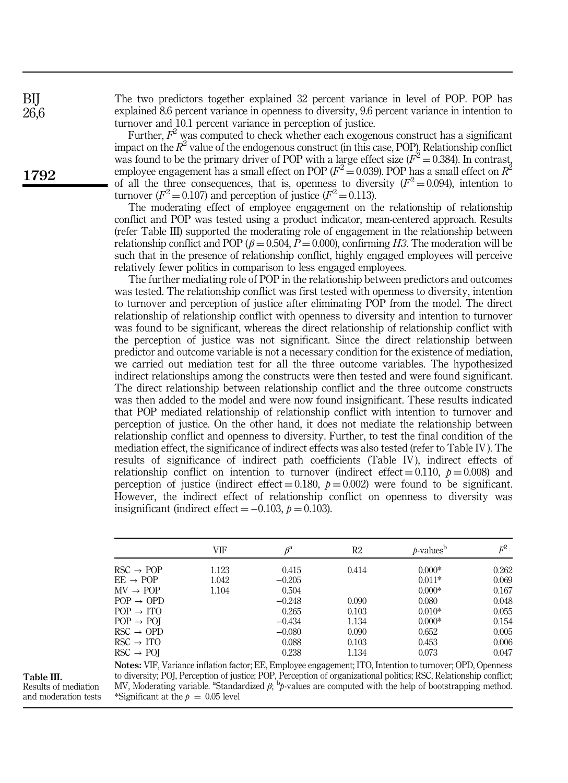The two predictors together explained 32 percent variance in level of POP. POP has explained 8.6 percent variance in openness to diversity, 9.6 percent variance in intention to turnover and 10.1 percent variance in perception of justice.

Further,  $F^2$  was computed to check whether each exogenous construct has a significant impact on the  $R^2$  value of the endogenous construct (in this case, POP). Relationship conflict was found to be the primary driver of POP with a large effect size  $(F^2 = 0.384)$ . In contrast, employee engagement has a small effect on POP ( $F^2 = 0.039$ ). POP has a small effect on  $R^2$ of all the three consequences, that is, openness to diversity  $(F^2 = 0.094)$ , intention to turnover ( $F^2 = 0.107$ ) and perception of justice ( $F^2 = 0.113$ ).

The moderating effect of employee engagement on the relationship of relationship conflict and POP was tested using a product indicator, mean-centered approach. Results (refer Table III) supported the moderating role of engagement in the relationship between relationship conflict and POP ( $\beta$  = 0.504, *P* = 0.000), confirming *H3*. The moderation will be such that in the presence of relationship conflict, highly engaged employees will perceive relatively fewer politics in comparison to less engaged employees.

The further mediating role of POP in the relationship between predictors and outcomes was tested. The relationship conflict was first tested with openness to diversity, intention to turnover and perception of justice after eliminating POP from the model. The direct relationship of relationship conflict with openness to diversity and intention to turnover was found to be significant, whereas the direct relationship of relationship conflict with the perception of justice was not significant. Since the direct relationship between predictor and outcome variable is not a necessary condition for the existence of mediation, we carried out mediation test for all the three outcome variables. The hypothesized indirect relationships among the constructs were then tested and were found significant. The direct relationship between relationship conflict and the three outcome constructs was then added to the model and were now found insignificant. These results indicated that POP mediated relationship of relationship conflict with intention to turnover and perception of justice. On the other hand, it does not mediate the relationship between relationship conflict and openness to diversity. Further, to test the final condition of the mediation effect, the significance of indirect effects was also tested (refer to Table IV). The results of significance of indirect path coefficients (Table IV), indirect effects of relationship conflict on intention to turnover (indirect effect  $= 0.110$ ,  $p = 0.008$ ) and perception of justice (indirect effect  $= 0.180$ ,  $p = 0.002$ ) were found to be significant. However, the indirect effect of relationship conflict on openness to diversity was insignificant (indirect effect  $= -0.103$ ,  $p = 0.103$ ).

|                                     | VIF   | $\beta^{\rm a}$ | R2    | $b$ -values <sup>b</sup> | $F^2$ |
|-------------------------------------|-------|-----------------|-------|--------------------------|-------|
| $RSC \rightarrow POP$               | 1.123 | 0.415           | 0.414 | $0.000*$                 | 0.262 |
| $EE \rightarrow POP$                | 1.042 | $-0.205$        |       | $0.011*$                 | 0.069 |
| $MV \rightarrow POP$                | 1.104 | 0.504           |       | $0.000*$                 | 0.167 |
| $POP \rightarrow OPD$               |       | $-0.248$        | 0.090 | 0.080                    | 0.048 |
| $POP \rightarrow ITO$               |       | 0.265           | 0.103 | $0.010*$                 | 0.055 |
| $POP \rightarrow POI$               |       | $-0.434$        | 1.134 | $0.000*$                 | 0.154 |
| $\text{RSC} \rightarrow \text{OPD}$ |       | $-0.080$        | 0.090 | 0.652                    | 0.005 |
| $\text{RSC} \rightarrow \text{ITO}$ |       | 0.088           | 0.103 | 0.453                    | 0.006 |
| $\text{RSC} \rightarrow \text{POI}$ |       | 0.238           | 1.134 | 0.073                    | 0.047 |

Table III.

Results of mediation and moderation tests Notes: VIF, Variance inflation factor; EE, Employee engagement; ITO, Intention to turnover; OPD, Openness to diversity; POJ, Perception of justice; POP, Perception of organizational politics; RSC, Relationship conflict; MV, Moderating variable. <sup>a</sup>Standardized β<sup>; b</sup>p-values are computed with the help of bootstrapping method. \*Significant at the  $p = 0.05$  level

BIJ 26,6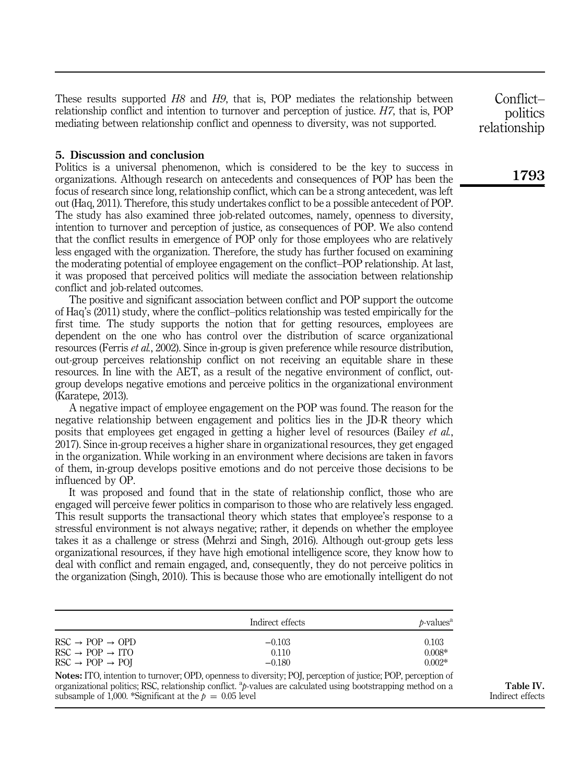These results supported *H8* and *H9*, that is, POP mediates the relationship between relationship conflict and intention to turnover and perception of justice. *H7*, that is, POP mediating between relationship conflict and openness to diversity, was not supported.

## 5. Discussion and conclusion

Politics is a universal phenomenon, which is considered to be the key to success in organizations. Although research on antecedents and consequences of POP has been the focus of research since long, relationship conflict, which can be a strong antecedent, was left out (Haq, 2011). Therefore, this study undertakes conflict to be a possible antecedent of POP. The study has also examined three job-related outcomes, namely, openness to diversity, intention to turnover and perception of justice, as consequences of POP. We also contend that the conflict results in emergence of POP only for those employees who are relatively less engaged with the organization. Therefore, the study has further focused on examining the moderating potential of employee engagement on the conflict–POP relationship. At last, it was proposed that perceived politics will mediate the association between relationship conflict and job-related outcomes.

The positive and significant association between conflict and POP support the outcome of Haq's (2011) study, where the conflict–politics relationship was tested empirically for the first time. The study supports the notion that for getting resources, employees are dependent on the one who has control over the distribution of scarce organizational resources (Ferris *et al.*, 2002). Since in-group is given preference while resource distribution, out-group perceives relationship conflict on not receiving an equitable share in these resources. In line with the AET, as a result of the negative environment of conflict, outgroup develops negative emotions and perceive politics in the organizational environment (Karatepe, 2013).

A negative impact of employee engagement on the POP was found. The reason for the negative relationship between engagement and politics lies in the JD-R theory which posits that employees get engaged in getting a higher level of resources (Bailey *et al.*, 2017). Since in-group receives a higher share in organizational resources, they get engaged in the organization. While working in an environment where decisions are taken in favors of them, in-group develops positive emotions and do not perceive those decisions to be influenced by OP.

It was proposed and found that in the state of relationship conflict, those who are engaged will perceive fewer politics in comparison to those who are relatively less engaged. This result supports the transactional theory which states that employee's response to a stressful environment is not always negative; rather, it depends on whether the employee takes it as a challenge or stress (Mehrzi and Singh, 2016). Although out-group gets less organizational resources, if they have high emotional intelligence score, they know how to deal with conflict and remain engaged, and, consequently, they do not perceive politics in the organization (Singh, 2010). This is because those who are emotionally intelligent do not

|                                                            | Indirect effects                                                                                                     | $b-valuesa$ |
|------------------------------------------------------------|----------------------------------------------------------------------------------------------------------------------|-------------|
| $RSC \rightarrow POP \rightarrow OPD$                      | $-0.103$                                                                                                             | 0.103       |
| $RSC \rightarrow POP \rightarrow ITO$                      | 0.110                                                                                                                | $0.008*$    |
| $\text{RSC} \rightarrow \text{POP} \rightarrow \text{POI}$ | $-0.180$                                                                                                             | $0.002*$    |
|                                                            | <b>Notes:</b> ITO, intention to turnover; OPD, openness to diversity; POI, perception of justice; POP, perception of |             |
|                                                            | organizational politics; RSC, relationship conflict, $ap$ -values are calculated using bootstrapping method on a     |             |

subsample of 1,000. \*Significant at the  $p = 0.05$  level

Table IV. Indirect effects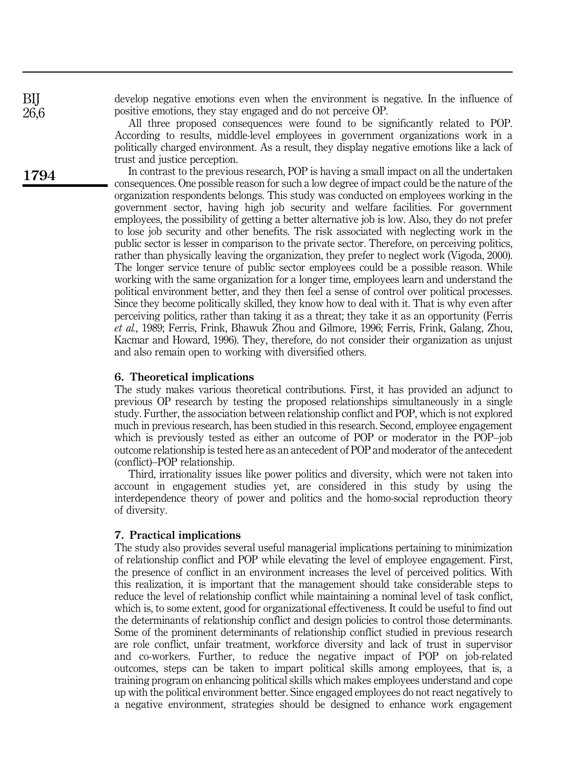develop negative emotions even when the environment is negative. In the influence of positive emotions, they stay engaged and do not perceive OP.

All three proposed consequences were found to be significantly related to POP. According to results, middle-level employees in government organizations work in a politically charged environment. As a result, they display negative emotions like a lack of trust and justice perception.

In contrast to the previous research, POP is having a small impact on all the undertaken consequences. One possible reason for such a low degree of impact could be the nature of the organization respondents belongs. This study was conducted on employees working in the government sector, having high job security and welfare facilities. For government employees, the possibility of getting a better alternative job is low. Also, they do not prefer to lose job security and other benefits. The risk associated with neglecting work in the public sector is lesser in comparison to the private sector. Therefore, on perceiving politics, rather than physically leaving the organization, they prefer to neglect work (Vigoda, 2000). The longer service tenure of public sector employees could be a possible reason. While working with the same organization for a longer time, employees learn and understand the political environment better, and they then feel a sense of control over political processes. Since they become politically skilled, they know how to deal with it. That is why even after perceiving politics, rather than taking it as a threat; they take it as an opportunity (Ferris *et al.*, 1989; Ferris, Frink, Bhawuk Zhou and Gilmore, 1996; Ferris, Frink, Galang, Zhou, Kacmar and Howard, 1996). They, therefore, do not consider their organization as unjust and also remain open to working with diversified others.

#### 6. Theoretical implications

The study makes various theoretical contributions. First, it has provided an adjunct to previous OP research by testing the proposed relationships simultaneously in a single study. Further, the association between relationship conflict and POP, which is not explored much in previous research, has been studied in this research. Second, employee engagement which is previously tested as either an outcome of POP or moderator in the POP–job outcome relationship is tested here as an antecedent of POP and moderator of the antecedent (conflict)–POP relationship.

Third, irrationality issues like power politics and diversity, which were not taken into account in engagement studies yet, are considered in this study by using the interdependence theory of power and politics and the homo-social reproduction theory of diversity.

#### 7. Practical implications

The study also provides several useful managerial implications pertaining to minimization of relationship conflict and POP while elevating the level of employee engagement. First, the presence of conflict in an environment increases the level of perceived politics. With this realization, it is important that the management should take considerable steps to reduce the level of relationship conflict while maintaining a nominal level of task conflict, which is, to some extent, good for organizational effectiveness. It could be useful to find out the determinants of relationship conflict and design policies to control those determinants. Some of the prominent determinants of relationship conflict studied in previous research are role conflict, unfair treatment, workforce diversity and lack of trust in supervisor and co-workers. Further, to reduce the negative impact of POP on job-related outcomes, steps can be taken to impart political skills among employees, that is, a training program on enhancing political skills which makes employees understand and cope up with the political environment better. Since engaged employees do not react negatively to a negative environment, strategies should be designed to enhance work engagement

BIJ 26,6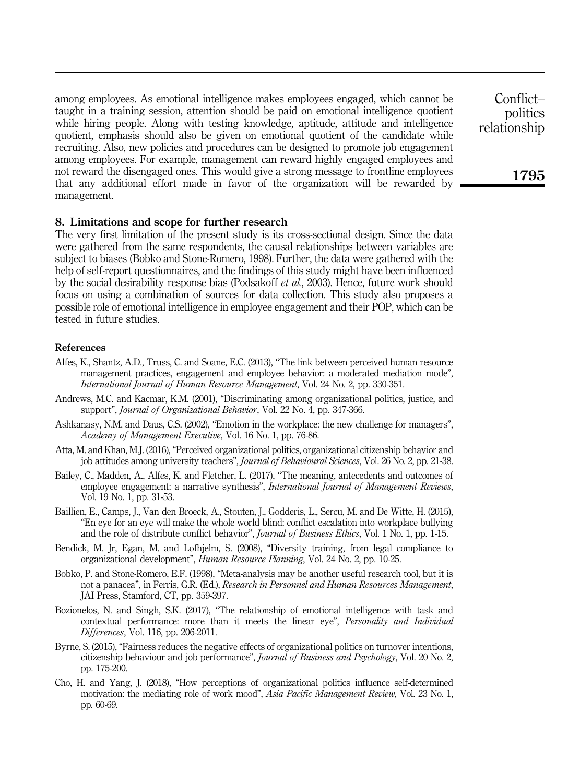among employees. As emotional intelligence makes employees engaged, which cannot be taught in a training session, attention should be paid on emotional intelligence quotient while hiring people. Along with testing knowledge, aptitude, attitude and intelligence quotient, emphasis should also be given on emotional quotient of the candidate while recruiting. Also, new policies and procedures can be designed to promote job engagement among employees. For example, management can reward highly engaged employees and not reward the disengaged ones. This would give a strong message to frontline employees that any additional effort made in favor of the organization will be rewarded by management.

#### 8. Limitations and scope for further research

The very first limitation of the present study is its cross-sectional design. Since the data were gathered from the same respondents, the causal relationships between variables are subject to biases (Bobko and Stone-Romero, 1998). Further, the data were gathered with the help of self-report questionnaires, and the findings of this study might have been influenced by the social desirability response bias (Podsakoff *et al.*, 2003). Hence, future work should focus on using a combination of sources for data collection. This study also proposes a possible role of emotional intelligence in employee engagement and their POP, which can be tested in future studies.

#### References

- Alfes, K., Shantz, A.D., Truss, C. and Soane, E.C. (2013), "The link between perceived human resource management practices, engagement and employee behavior: a moderated mediation mode", *International Journal of Human Resource Management*, Vol. 24 No. 2, pp. 330-351.
- Andrews, M.C. and Kacmar, K.M. (2001), "Discriminating among organizational politics, justice, and support", *Journal of Organizational Behavior*, Vol. 22 No. 4, pp. 347-366.
- Ashkanasy, N.M. and Daus, C.S. (2002), "Emotion in the workplace: the new challenge for managers", *Academy of Management Executive*, Vol. 16 No. 1, pp. 76-86.
- Atta, M. and Khan, M.J. (2016), "Perceived organizational politics, organizational citizenship behavior and job attitudes among university teachers", *Journal of Behavioural Sciences*, Vol. 26 No. 2, pp. 21-38.
- Bailey, C., Madden, A., Alfes, K. and Fletcher, L. (2017), "The meaning, antecedents and outcomes of employee engagement: a narrative synthesis", *International Journal of Management Reviews*, Vol. 19 No. 1, pp. 31-53.
- Baillien, E., Camps, J., Van den Broeck, A., Stouten, J., Godderis, L., Sercu, M. and De Witte, H. (2015), "En eye for an eye will make the whole world blind: conflict escalation into workplace bullying and the role of distribute conflict behavior", *Journal of Business Ethics*, Vol. 1 No. 1, pp. 1-15.
- Bendick, M. Jr, Egan, M. and Lofhjelm, S. (2008), "Diversity training, from legal compliance to organizational development", *Human Resource Planning*, Vol. 24 No. 2, pp. 10-25.
- Bobko, P. and Stone-Romero, E.F. (1998), "Meta-analysis may be another useful research tool, but it is not a panacea", in Ferris, G.R. (Ed.), *Research in Personnel and Human Resources Management*, JAI Press, Stamford, CT, pp. 359-397.
- Bozionelos, N. and Singh, S.K. (2017), "The relationship of emotional intelligence with task and contextual performance: more than it meets the linear eye", *Personality and Individual Differences*, Vol. 116, pp. 206-2011.
- Byrne, S. (2015), "Fairness reduces the negative effects of organizational politics on turnover intentions, citizenship behaviour and job performance", *Journal of Business and Psychology*, Vol. 20 No. 2, pp. 175-200.
- Cho, H. and Yang, J. (2018), "How perceptions of organizational politics influence self-determined motivation: the mediating role of work mood", *Asia Pacific Management Review*, Vol. 23 No. 1, pp. 60-69.

Conflict– politics relationship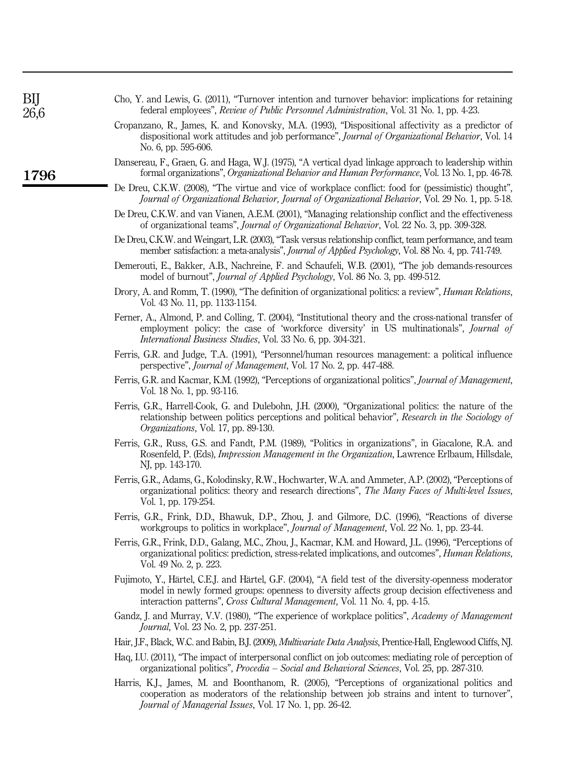| Cho, Y. and Lewis, G. (2011), "Turnover intention and turnover behavior: implications for retaining |  |  |  |  |
|-----------------------------------------------------------------------------------------------------|--|--|--|--|
| federal employees", <i>Review of Public Personnel Administration</i> , Vol. 31 No. 1, pp. 4-23.     |  |  |  |  |

- Cropanzano, R., James, K. and Konovsky, M.A. (1993), "Dispositional affectivity as a predictor of dispositional work attitudes and job performance", *Journal of Organizational Behavior*, Vol. 14 No. 6, pp. 595-606.
- Dansereau, F., Graen, G. and Haga, W.J. (1975), "A vertical dyad linkage approach to leadership within formal organizations", *Organizational Behavior and Human Performance*, Vol. 13 No. 1, pp. 46-78.
- De Dreu, C.K.W. (2008), "The virtue and vice of workplace conflict: food for (pessimistic) thought", *Journal of Organizational Behavior, Journal of Organizational Behavior*, Vol. 29 No. 1, pp. 5-18.
- De Dreu, C.K.W. and van Vianen, A.E.M. (2001), "Managing relationship conflict and the effectiveness of organizational teams", *Journal of Organizational Behavior*, Vol. 22 No. 3, pp. 309-328.
- De Dreu, C.K.W. and Weingart, L.R. (2003), "Task versus relationship conflict, team performance, and team member satisfaction: a meta-analysis", *Journal of Applied Psychology*, Vol. 88 No. 4, pp. 741-749.
- Demerouti, E., Bakker, A.B., Nachreine, F. and Schaufeli, W.B. (2001), "The job demands-resources model of burnout", *Journal of Applied Psychology*, Vol. 86 No. 3, pp. 499-512.
- Drory, A. and Romm, T. (1990), "The definition of organizational politics: a review", *Human Relations*, Vol. 43 No. 11, pp. 1133-1154.
- Ferner, A., Almond, P. and Colling, T. (2004), "Institutional theory and the cross-national transfer of employment policy: the case of 'workforce diversity' in US multinationals", *Journal of International Business Studies*, Vol. 33 No. 6, pp. 304-321.
- Ferris, G.R. and Judge, T.A. (1991), "Personnel/human resources management: a political influence perspective", *Journal of Management*, Vol. 17 No. 2, pp. 447-488.
- Ferris, G.R. and Kacmar, K.M. (1992), "Perceptions of organizational politics", *Journal of Management*, Vol. 18 No. 1, pp. 93-116.
- Ferris, G.R., Harrell-Cook, G. and Dulebohn, J.H. (2000), "Organizational politics: the nature of the relationship between politics perceptions and political behavior", *Research in the Sociology of Organizations*, Vol. 17, pp. 89-130.
- Ferris, G.R., Russ, G.S. and Fandt, P.M. (1989), "Politics in organizations", in Giacalone, R.A. and Rosenfeld, P. (Eds), *Impression Management in the Organization*, Lawrence Erlbaum, Hillsdale, NJ, pp. 143-170.
- Ferris, G.R., Adams, G., Kolodinsky, R.W., Hochwarter, W.A. and Ammeter, A.P. (2002), "Perceptions of organizational politics: theory and research directions", *The Many Faces of Multi-level Issues*, Vol. 1, pp. 179-254.
- Ferris, G.R., Frink, D.D., Bhawuk, D.P., Zhou, J. and Gilmore, D.C. (1996), "Reactions of diverse workgroups to politics in workplace", *Journal of Management*, Vol. 22 No. 1, pp. 23-44.
- Ferris, G.R., Frink, D.D., Galang, M.C., Zhou, J., Kacmar, K.M. and Howard, J.L. (1996), "Perceptions of organizational politics: prediction, stress-related implications, and outcomes", *Human Relations*, Vol. 49 No. 2, p. 223.
- Fujimoto, Y., Härtel, C.E.J. and Härtel, G.F. (2004), "A field test of the diversity-openness moderator model in newly formed groups: openness to diversity affects group decision effectiveness and interaction patterns", *Cross Cultural Management*, Vol. 11 No. 4, pp. 4-15.
- Gandz, J. and Murray, V.V. (1980), "The experience of workplace politics", *Academy of Management Journal*, Vol. 23 No. 2, pp. 237-251.
- Hair, J.F., Black, W.C. and Babin, B.J. (2009), *Multivariate Data Analysis*, Prentice-Hall, Englewood Cliffs, NJ.
- Haq, I.U. (2011), "The impact of interpersonal conflict on job outcomes: mediating role of perception of organizational politics", *Procedia* – *Social and Behavioral Sciences*, Vol. 25, pp. 287-310.
- Harris, K.J., James, M. and Boonthanom, R. (2005), "Perceptions of organizational politics and cooperation as moderators of the relationship between job strains and intent to turnover", *Journal of Managerial Issues*, Vol. 17 No. 1, pp. 26-42.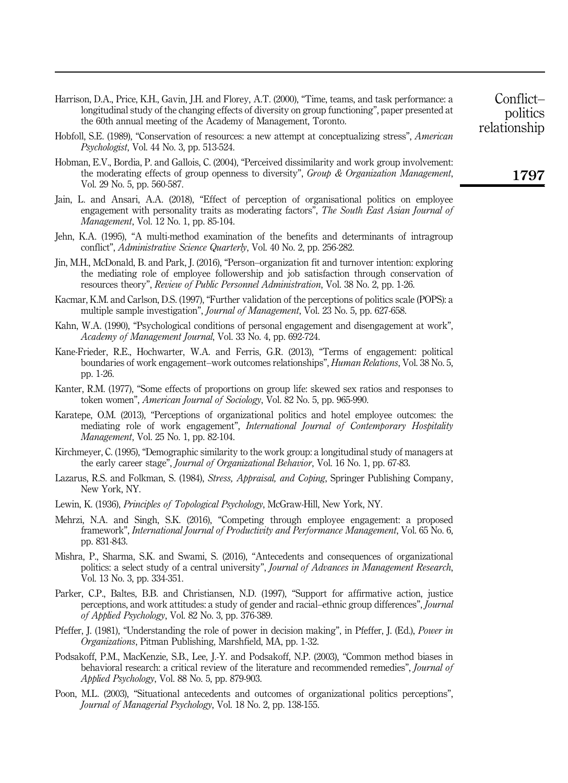- Harrison, D.A., Price, K.H., Gavin, J.H. and Florey, A.T. (2000), "Time, teams, and task performance: a longitudinal study of the changing effects of diversity on group functioning", paper presented at the 60th annual meeting of the Academy of Management, Toronto.
- Hobfoll, S.E. (1989), "Conservation of resources: a new attempt at conceptualizing stress", *American Psychologist*, Vol. 44 No. 3, pp. 513-524.
- Hobman, E.V., Bordia, P. and Gallois, C. (2004), "Perceived dissimilarity and work group involvement: the moderating effects of group openness to diversity", *Group & Organization Management*, Vol. 29 No. 5, pp. 560-587.
- Jain, L. and Ansari, A.A. (2018), "Effect of perception of organisational politics on employee engagement with personality traits as moderating factors", *The South East Asian Journal of Management*, Vol. 12 No. 1, pp. 85-104.
- Jehn, K.A. (1995), "A multi-method examination of the benefits and determinants of intragroup conflict", *Administrative Science Quarterly*, Vol. 40 No. 2, pp. 256-282.
- Jin, M.H., McDonald, B. and Park, J. (2016), "Person–organization fit and turnover intention: exploring the mediating role of employee followership and job satisfaction through conservation of resources theory", *Review of Public Personnel Administration*, Vol. 38 No. 2, pp. 1-26.
- Kacmar, K.M. and Carlson, D.S. (1997), "Further validation of the perceptions of politics scale (POPS): a multiple sample investigation", *Journal of Management*, Vol. 23 No. 5, pp. 627-658.
- Kahn, W.A. (1990), "Psychological conditions of personal engagement and disengagement at work", *Academy of Management Journal*, Vol. 33 No. 4, pp. 692-724.
- Kane-Frieder, R.E., Hochwarter, W.A. and Ferris, G.R. (2013), "Terms of engagement: political boundaries of work engagement–work outcomes relationships", *Human Relations*, Vol. 38 No. 5, pp. 1-26.
- Kanter, R.M. (1977), "Some effects of proportions on group life: skewed sex ratios and responses to token women", *American Journal of Sociology*, Vol. 82 No. 5, pp. 965-990.
- Karatepe, O.M. (2013), "Perceptions of organizational politics and hotel employee outcomes: the mediating role of work engagement", *International Journal of Contemporary Hospitality Management*, Vol. 25 No. 1, pp. 82-104.
- Kirchmeyer, C. (1995), "Demographic similarity to the work group: a longitudinal study of managers at the early career stage", *Journal of Organizational Behavior*, Vol. 16 No. 1, pp. 67-83.
- Lazarus, R.S. and Folkman, S. (1984), *Stress, Appraisal, and Coping*, Springer Publishing Company, New York, NY.
- Lewin, K. (1936), *Principles of Topological Psychology*, McGraw-Hill, New York, NY.
- Mehrzi, N.A. and Singh, S.K. (2016), "Competing through employee engagement: a proposed framework", *International Journal of Productivity and Performance Management*, Vol. 65 No. 6, pp. 831-843.
- Mishra, P., Sharma, S.K. and Swami, S. (2016), "Antecedents and consequences of organizational politics: a select study of a central university", *Journal of Advances in Management Research*, Vol. 13 No. 3, pp. 334-351.
- Parker, C.P., Baltes, B.B. and Christiansen, N.D. (1997), "Support for affirmative action, justice perceptions, and work attitudes: a study of gender and racial–ethnic group differences", *Journal of Applied Psychology*, Vol. 82 No. 3, pp. 376-389.
- Pfeffer, J. (1981), "Understanding the role of power in decision making", in Pfeffer, J. (Ed.), *Power in Organizations*, Pitman Publishing, Marshfield, MA, pp. 1-32.
- Podsakoff, P.M., MacKenzie, S.B., Lee, J.-Y. and Podsakoff, N.P. (2003), "Common method biases in behavioral research: a critical review of the literature and recommended remedies", *Journal of Applied Psychology*, Vol. 88 No. 5, pp. 879-903.
- Poon, M.L. (2003), "Situational antecedents and outcomes of organizational politics perceptions", *Journal of Managerial Psychology*, Vol. 18 No. 2, pp. 138-155.

politics relationship

Conflict–